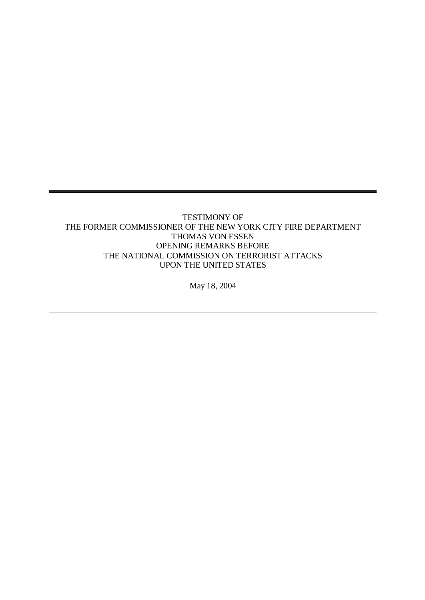## TESTIMONY OF THE FORMER COMMISSIONER OF THE NEW YORK CITY FIRE DEPARTMENT THOMAS VON ESSEN OPENING REMARKS BEFORE THE NATIONAL COMMISSION ON TERRORIST ATTACKS UPON THE UNITED STATES

May 18, 2004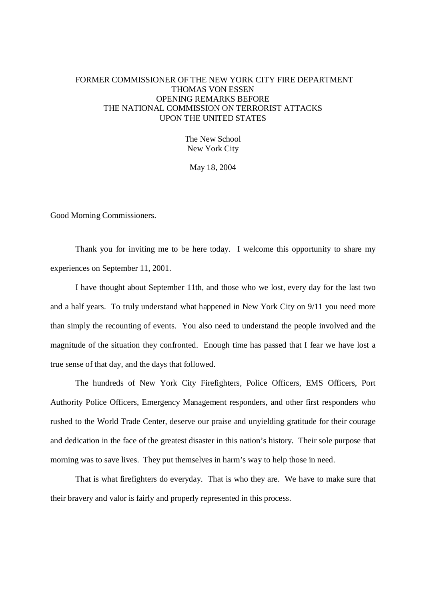## FORMER COMMISSIONER OF THE NEW YORK CITY FIRE DEPARTMENT THOMAS VON ESSEN OPENING REMARKS BEFORE THE NATIONAL COMMISSION ON TERRORIST ATTACKS UPON THE UNITED STATES

The New School New York City

May 18, 2004

Good Morning Commissioners.

Thank you for inviting me to be here today. I welcome this opportunity to share my experiences on September 11, 2001.

I have thought about September 11th, and those who we lost, every day for the last two and a half years. To truly understand what happened in New York City on 9/11 you need more than simply the recounting of events. You also need to understand the people involved and the magnitude of the situation they confronted. Enough time has passed that I fear we have lost a true sense of that day, and the days that followed.

The hundreds of New York City Firefighters, Police Officers, EMS Officers, Port Authority Police Officers, Emergency Management responders, and other first responders who rushed to the World Trade Center, deserve our praise and unyielding gratitude for their courage and dedication in the face of the greatest disaster in this nation's history. Their sole purpose that morning was to save lives. They put themselves in harm's way to help those in need.

That is what firefighters do everyday. That is who they are. We have to make sure that their bravery and valor is fairly and properly represented in this process.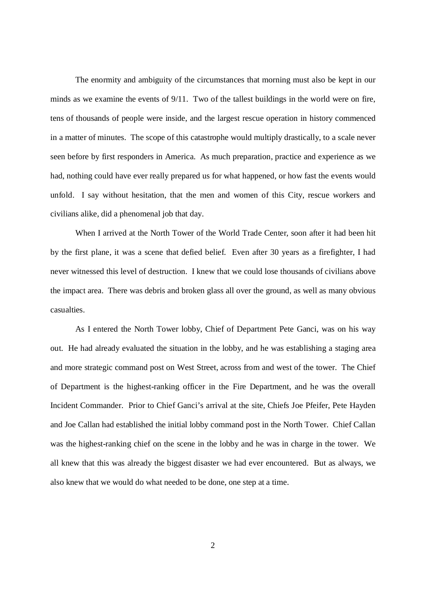The enormity and ambiguity of the circumstances that morning must also be kept in our minds as we examine the events of 9/11. Two of the tallest buildings in the world were on fire, tens of thousands of people were inside, and the largest rescue operation in history commenced in a matter of minutes. The scope of this catastrophe would multiply drastically, to a scale never seen before by first responders in America. As much preparation, practice and experience as we had, nothing could have ever really prepared us for what happened, or how fast the events would unfold. I say without hesitation, that the men and women of this City, rescue workers and civilians alike, did a phenomenal job that day.

When I arrived at the North Tower of the World Trade Center, soon after it had been hit by the first plane, it was a scene that defied belief. Even after 30 years as a firefighter, I had never witnessed this level of destruction. I knew that we could lose thousands of civilians above the impact area. There was debris and broken glass all over the ground, as well as many obvious casualties.

As I entered the North Tower lobby, Chief of Department Pete Ganci, was on his way out. He had already evaluated the situation in the lobby, and he was establishing a staging area and more strategic command post on West Street, across from and west of the tower. The Chief of Department is the highest-ranking officer in the Fire Department, and he was the overall Incident Commander. Prior to Chief Ganci's arrival at the site, Chiefs Joe Pfeifer, Pete Hayden and Joe Callan had established the initial lobby command post in the North Tower. Chief Callan was the highest-ranking chief on the scene in the lobby and he was in charge in the tower. We all knew that this was already the biggest disaster we had ever encountered. But as always, we also knew that we would do what needed to be done, one step at a time.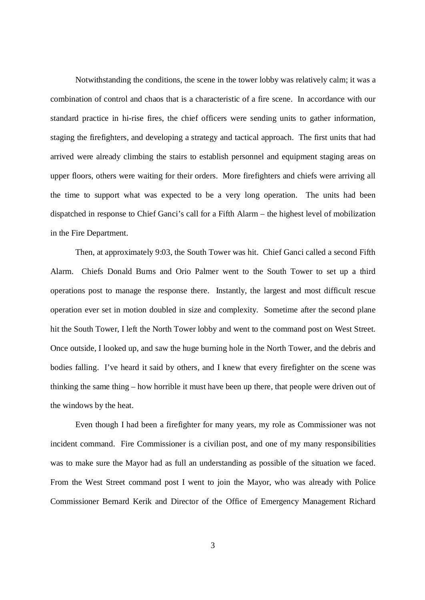Notwithstanding the conditions, the scene in the tower lobby was relatively calm; it was a combination of control and chaos that is a characteristic of a fire scene. In accordance with our standard practice in hi-rise fires, the chief officers were sending units to gather information, staging the firefighters, and developing a strategy and tactical approach. The first units that had arrived were already climbing the stairs to establish personnel and equipment staging areas on upper floors, others were waiting for their orders. More firefighters and chiefs were arriving all the time to support what was expected to be a very long operation. The units had been dispatched in response to Chief Ganci's call for a Fifth Alarm – the highest level of mobilization in the Fire Department.

Then, at approximately 9:03, the South Tower was hit. Chief Ganci called a second Fifth Alarm. Chiefs Donald Burns and Orio Palmer went to the South Tower to set up a third operations post to manage the response there. Instantly, the largest and most difficult rescue operation ever set in motion doubled in size and complexity. Sometime after the second plane hit the South Tower, I left the North Tower lobby and went to the command post on West Street. Once outside, I looked up, and saw the huge burning hole in the North Tower, and the debris and bodies falling. I've heard it said by others, and I knew that every firefighter on the scene was thinking the same thing – how horrible it must have been up there, that people were driven out of the windows by the heat.

Even though I had been a firefighter for many years, my role as Commissioner was not incident command. Fire Commissioner is a civilian post, and one of my many responsibilities was to make sure the Mayor had as full an understanding as possible of the situation we faced. From the West Street command post I went to join the Mayor, who was already with Police Commissioner Bernard Kerik and Director of the Office of Emergency Management Richard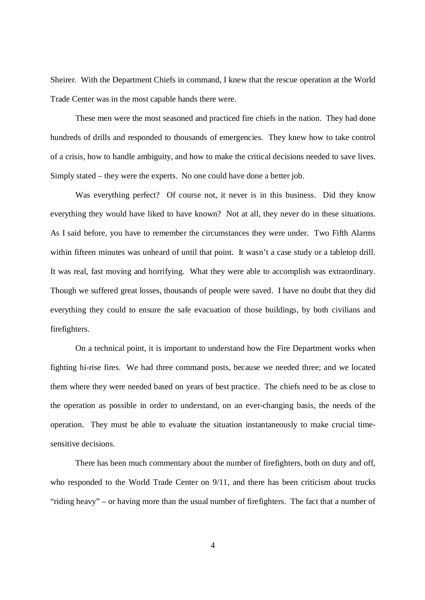Sheirer. With the Department Chiefs in command, I knew that the rescue operation at the World Trade Center was in the most capable hands there were.

These men were the most seasoned and practiced fire chiefs in the nation. They had done hundreds of drills and responded to thousands of emergencies. They knew how to take control of a crisis, how to handle ambiguity, and how to make the critical decisions needed to save lives. Simply stated – they were the experts. No one could have done a better job.

Was everything perfect? Of course not, it never is in this business. Did they know everything they would have liked to have known? Not at all, they never do in these situations. As I said before, you have to remember the circumstances they were under. Two Fifth Alarms within fifteen minutes was unheard of until that point. It wasn't a case study or a tabletop drill. It was real, fast moving and horrifying. What they were able to accomplish was extraordinary. Though we suffered great losses, thousands of people were saved. I have no doubt that they did everything they could to ensure the safe evacuation of those buildings, by both civilians and firefighters.

On a technical point, it is important to understand how the Fire Department works when fighting hi-rise fires. We had three command posts, because we needed three; and we located them where they were needed based on years of best practice. The chiefs need to be as close to the operation as possible in order to understand, on an ever-changing basis, the needs of the operation. They must be able to evaluate the situation instantaneously to make crucial timesensitive decisions.

There has been much commentary about the number of firefighters, both on duty and off, who responded to the World Trade Center on 9/11, and there has been criticism about trucks "riding heavy" – or having more than the usual number of firefighters. The fact that a number of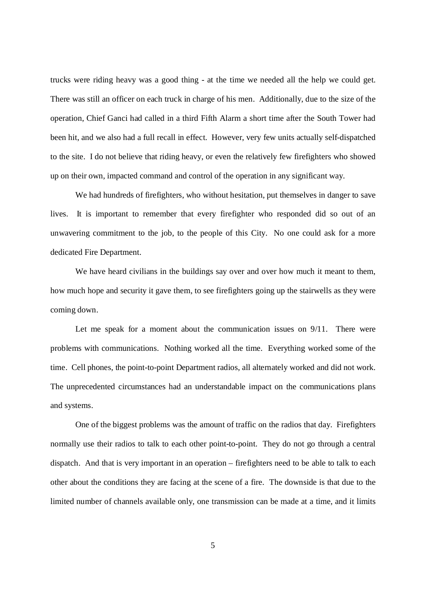trucks were riding heavy was a good thing - at the time we needed all the help we could get. There was still an officer on each truck in charge of his men. Additionally, due to the size of the operation, Chief Ganci had called in a third Fifth Alarm a short time after the South Tower had been hit, and we also had a full recall in effect. However, very few units actually self-dispatched to the site. I do not believe that riding heavy, or even the relatively few firefighters who showed up on their own, impacted command and control of the operation in any significant way.

We had hundreds of firefighters, who without hesitation, put themselves in danger to save lives. It is important to remember that every firefighter who responded did so out of an unwavering commitment to the job, to the people of this City. No one could ask for a more dedicated Fire Department.

We have heard civilians in the buildings say over and over how much it meant to them, how much hope and security it gave them, to see firefighters going up the stairwells as they were coming down.

Let me speak for a moment about the communication issues on 9/11. There were problems with communications. Nothing worked all the time. Everything worked some of the time. Cell phones, the point-to-point Department radios, all alternately worked and did not work. The unprecedented circumstances had an understandable impact on the communications plans and systems.

One of the biggest problems was the amount of traffic on the radios that day. Firefighters normally use their radios to talk to each other point-to-point. They do not go through a central dispatch. And that is very important in an operation – firefighters need to be able to talk to each other about the conditions they are facing at the scene of a fire. The downside is that due to the limited number of channels available only, one transmission can be made at a time, and it limits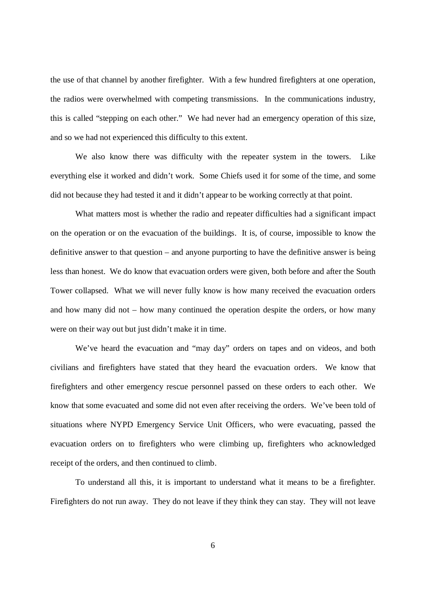the use of that channel by another firefighter. With a few hundred firefighters at one operation, the radios were overwhelmed with competing transmissions. In the communications industry, this is called "stepping on each other." We had never had an emergency operation of this size, and so we had not experienced this difficulty to this extent.

We also know there was difficulty with the repeater system in the towers. Like everything else it worked and didn't work. Some Chiefs used it for some of the time, and some did not because they had tested it and it didn't appear to be working correctly at that point.

What matters most is whether the radio and repeater difficulties had a significant impact on the operation or on the evacuation of the buildings. It is, of course, impossible to know the definitive answer to that question – and anyone purporting to have the definitive answer is being less than honest. We do know that evacuation orders were given, both before and after the South Tower collapsed. What we will never fully know is how many received the evacuation orders and how many did not – how many continued the operation despite the orders, or how many were on their way out but just didn't make it in time.

We've heard the evacuation and "may day" orders on tapes and on videos, and both civilians and firefighters have stated that they heard the evacuation orders. We know that firefighters and other emergency rescue personnel passed on these orders to each other. We know that some evacuated and some did not even after receiving the orders. We've been told of situations where NYPD Emergency Service Unit Officers, who were evacuating, passed the evacuation orders on to firefighters who were climbing up, firefighters who acknowledged receipt of the orders, and then continued to climb.

To understand all this, it is important to understand what it means to be a firefighter. Firefighters do not run away. They do not leave if they think they can stay. They will not leave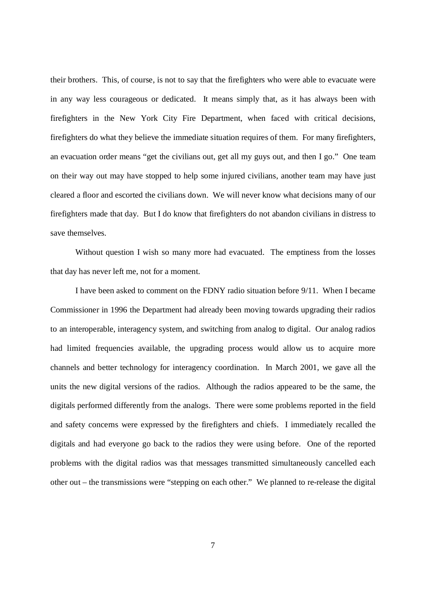their brothers. This, of course, is not to say that the firefighters who were able to evacuate were in any way less courageous or dedicated. It means simply that, as it has always been with firefighters in the New York City Fire Department, when faced with critical decisions, firefighters do what they believe the immediate situation requires of them. For many firefighters, an evacuation order means "get the civilians out, get all my guys out, and then I go." One team on their way out may have stopped to help some injured civilians, another team may have just cleared a floor and escorted the civilians down. We will never know what decisions many of our firefighters made that day. But I do know that firefighters do not abandon civilians in distress to save themselves.

Without question I wish so many more had evacuated. The emptiness from the losses that day has never left me, not for a moment.

I have been asked to comment on the FDNY radio situation before 9/11. When I became Commissioner in 1996 the Department had already been moving towards upgrading their radios to an interoperable, interagency system, and switching from analog to digital. Our analog radios had limited frequencies available, the upgrading process would allow us to acquire more channels and better technology for interagency coordination. In March 2001, we gave all the units the new digital versions of the radios. Although the radios appeared to be the same, the digitals performed differently from the analogs. There were some problems reported in the field and safety concerns were expressed by the firefighters and chiefs. I immediately recalled the digitals and had everyone go back to the radios they were using before. One of the reported problems with the digital radios was that messages transmitted simultaneously cancelled each other out – the transmissions were "stepping on each other." We planned to re-release the digital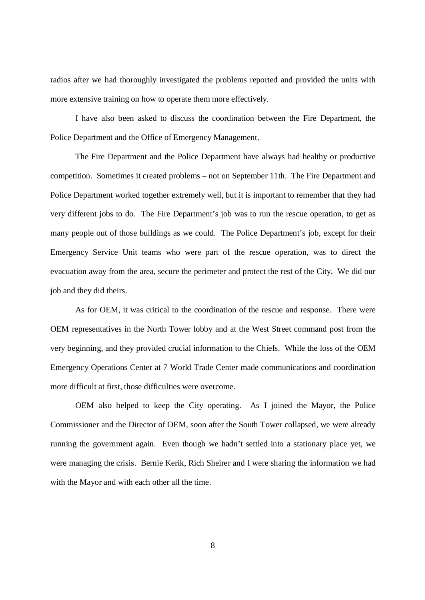radios after we had thoroughly investigated the problems reported and provided the units with more extensive training on how to operate them more effectively.

I have also been asked to discuss the coordination between the Fire Department, the Police Department and the Office of Emergency Management.

The Fire Department and the Police Department have always had healthy or productive competition. Sometimes it created problems – not on September 11th. The Fire Department and Police Department worked together extremely well, but it is important to remember that they had very different jobs to do. The Fire Department's job was to run the rescue operation, to get as many people out of those buildings as we could. The Police Department's job, except for their Emergency Service Unit teams who were part of the rescue operation, was to direct the evacuation away from the area, secure the perimeter and protect the rest of the City. We did our job and they did theirs.

As for OEM, it was critical to the coordination of the rescue and response. There were OEM representatives in the North Tower lobby and at the West Street command post from the very beginning, and they provided crucial information to the Chiefs. While the loss of the OEM Emergency Operations Center at 7 World Trade Center made communications and coordination more difficult at first, those difficulties were overcome.

OEM also helped to keep the City operating. As I joined the Mayor, the Police Commissioner and the Director of OEM, soon after the South Tower collapsed, we were already running the government again. Even though we hadn't settled into a stationary place yet, we were managing the crisis. Bernie Kerik, Rich Sheirer and I were sharing the information we had with the Mayor and with each other all the time.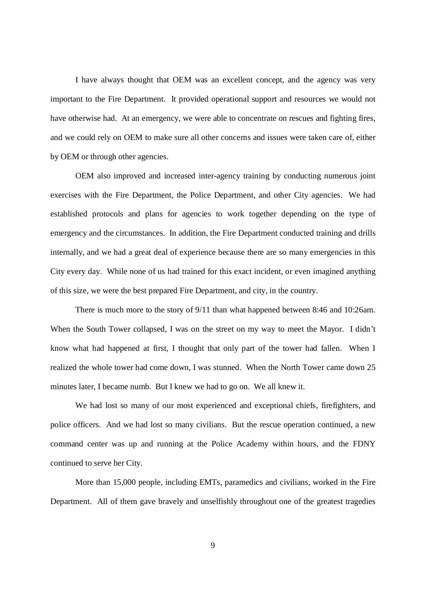I have always thought that OEM was an excellent concept, and the agency was very important to the Fire Department. It provided operational support and resources we would not have otherwise had. At an emergency, we were able to concentrate on rescues and fighting fires, and we could rely on OEM to make sure all other concerns and issues were taken care of, either by OEM or through other agencies.

OEM also improved and increased inter-agency training by conducting numerous joint exercises with the Fire Department, the Police Department, and other City agencies. We had established protocols and plans for agencies to work together depending on the type of emergency and the circumstances. In addition, the Fire Department conducted training and drills internally, and we had a great deal of experience because there are so many emergencies in this City every day. While none of us had trained for this exact incident, or even imagined anything of this size, we were the best prepared Fire Department, and city, in the country.

There is much more to the story of 9/11 than what happened between 8:46 and 10:26am. When the South Tower collapsed, I was on the street on my way to meet the Mayor. I didn't know what had happened at first, I thought that only part of the tower had fallen. When I realized the whole tower had come down, I was stunned. When the North Tower came down 25 minutes later, I became numb. But I knew we had to go on. We all knew it.

We had lost so many of our most experienced and exceptional chiefs, firefighters, and police officers. And we had lost so many civilians. But the rescue operation continued, a new command center was up and running at the Police Academy within hours, and the FDNY continued to serve her City.

More than 15,000 people, including EMTs, paramedics and civilians, worked in the Fire Department. All of them gave bravely and unselfishly throughout one of the greatest tragedies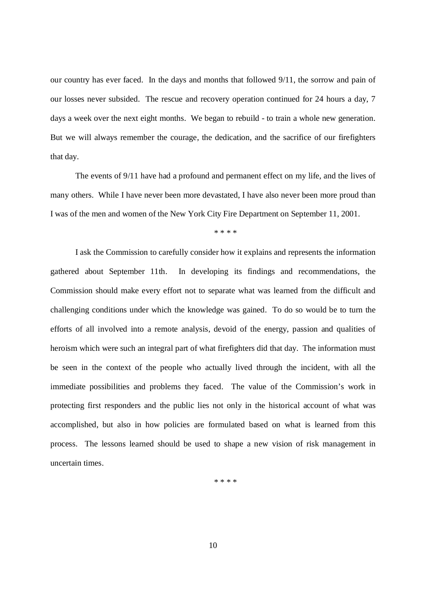our country has ever faced. In the days and months that followed 9/11, the sorrow and pain of our losses never subsided. The rescue and recovery operation continued for 24 hours a day, 7 days a week over the next eight months. We began to rebuild - to train a whole new generation. But we will always remember the courage, the dedication, and the sacrifice of our firefighters that day.

The events of 9/11 have had a profound and permanent effect on my life, and the lives of many others. While I have never been more devastated, I have also never been more proud than I was of the men and women of the New York City Fire Department on September 11, 2001.

\* \* \* \*

I ask the Commission to carefully consider how it explains and represents the information gathered about September 11th. In developing its findings and recommendations, the Commission should make every effort not to separate what was learned from the difficult and challenging conditions under which the knowledge was gained. To do so would be to turn the efforts of all involved into a remote analysis, devoid of the energy, passion and qualities of heroism which were such an integral part of what firefighters did that day. The information must be seen in the context of the people who actually lived through the incident, with all the immediate possibilities and problems they faced. The value of the Commission's work in protecting first responders and the public lies not only in the historical account of what was accomplished, but also in how policies are formulated based on what is learned from this process. The lessons learned should be used to shape a new vision of risk management in uncertain times.

\* \* \* \*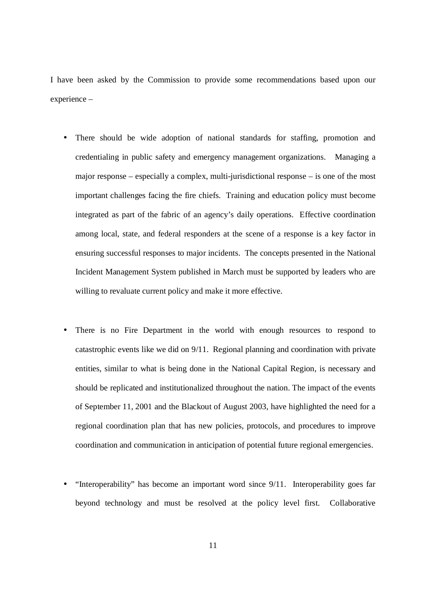I have been asked by the Commission to provide some recommendations based upon our experience –

- There should be wide adoption of national standards for staffing, promotion and credentialing in public safety and emergency management organizations. Managing a major response – especially a complex, multi-jurisdictional response – is one of the most important challenges facing the fire chiefs. Training and education policy must become integrated as part of the fabric of an agency's daily operations. Effective coordination among local, state, and federal responders at the scene of a response is a key factor in ensuring successful responses to major incidents. The concepts presented in the National Incident Management System published in March must be supported by leaders who are willing to revaluate current policy and make it more effective.
- There is no Fire Department in the world with enough resources to respond to catastrophic events like we did on 9/11. Regional planning and coordination with private entities, similar to what is being done in the National Capital Region, is necessary and should be replicated and institutionalized throughout the nation. The impact of the events of September 11, 2001 and the Blackout of August 2003, have highlighted the need for a regional coordination plan that has new policies, protocols, and procedures to improve coordination and communication in anticipation of potential future regional emergencies.
- "Interoperability" has become an important word since 9/11. Interoperability goes far beyond technology and must be resolved at the policy level first. Collaborative